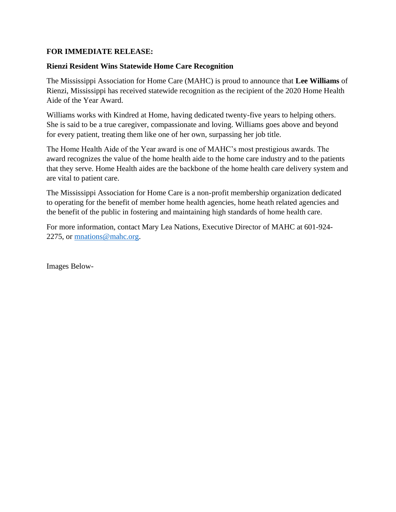## **FOR IMMEDIATE RELEASE:**

## **Rienzi Resident Wins Statewide Home Care Recognition**

The Mississippi Association for Home Care (MAHC) is proud to announce that **Lee Williams** of Rienzi, Mississippi has received statewide recognition as the recipient of the 2020 Home Health Aide of the Year Award.

Williams works with Kindred at Home, having dedicated twenty-five years to helping others. She is said to be a true caregiver, compassionate and loving. Williams goes above and beyond for every patient, treating them like one of her own, surpassing her job title.

The Home Health Aide of the Year award is one of MAHC's most prestigious awards. The award recognizes the value of the home health aide to the home care industry and to the patients that they serve. Home Health aides are the backbone of the home health care delivery system and are vital to patient care.

The Mississippi Association for Home Care is a non-profit membership organization dedicated to operating for the benefit of member home health agencies, home heath related agencies and the benefit of the public in fostering and maintaining high standards of home health care.

For more information, contact Mary Lea Nations, Executive Director of MAHC at 601-924- 2275, or [mnations@mahc.org.](mailto:mnations@mahc.org)

Images Below-